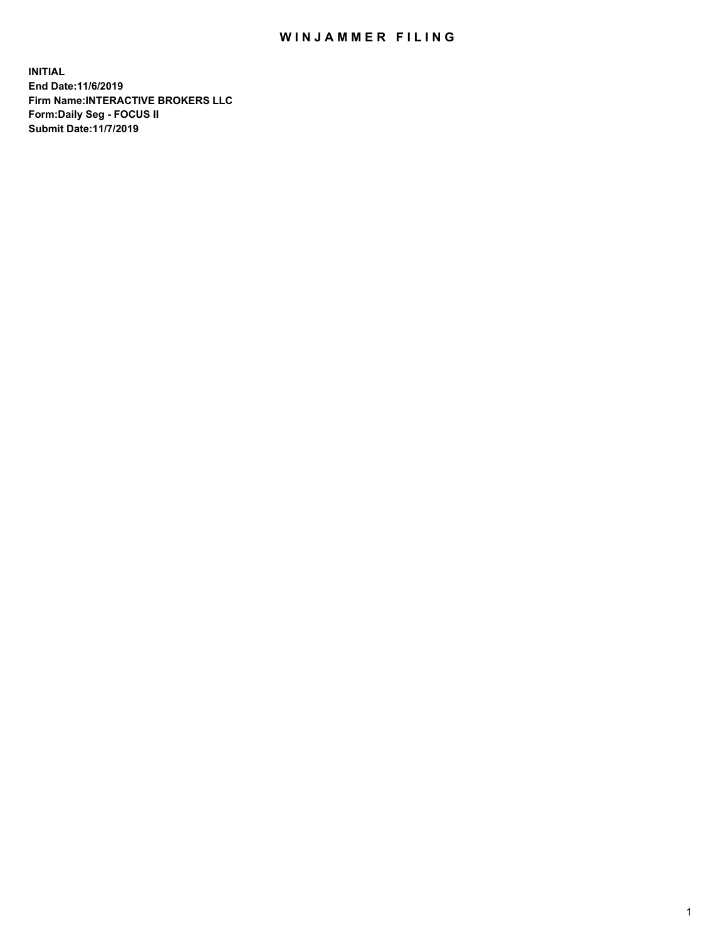## WIN JAMMER FILING

**INITIAL End Date:11/6/2019 Firm Name:INTERACTIVE BROKERS LLC Form:Daily Seg - FOCUS II Submit Date:11/7/2019**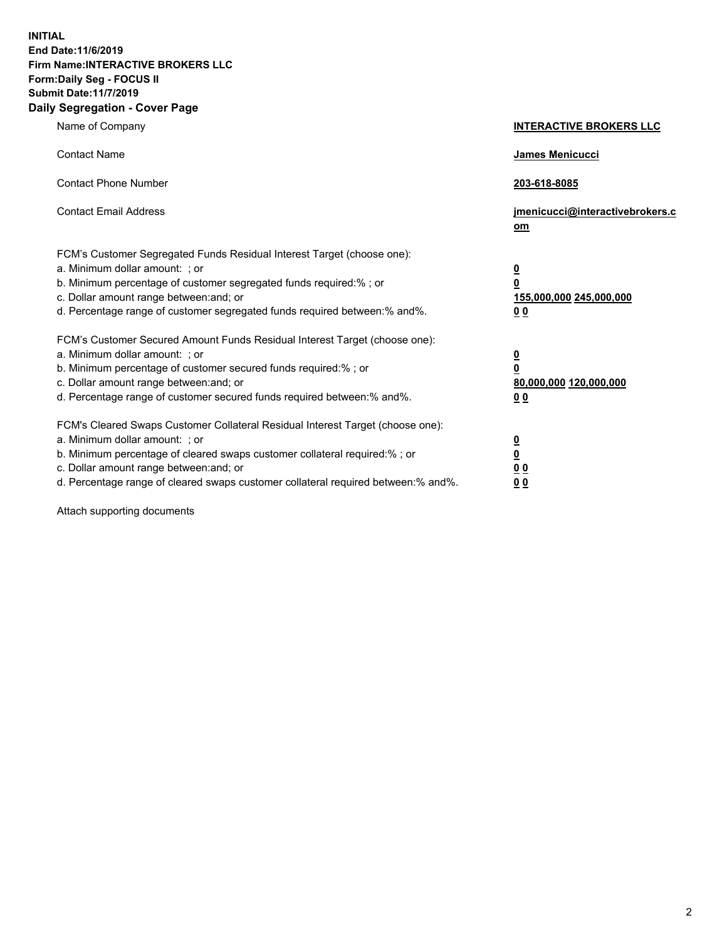**INITIAL End Date:11/6/2019 Firm Name:INTERACTIVE BROKERS LLC Form:Daily Seg - FOCUS II Submit Date:11/7/2019 Daily Segregation - Cover Page**

| Name of Company                                                                                                                                                                                                                                                                                                                | <b>INTERACTIVE BROKERS LLC</b>                                                                  |
|--------------------------------------------------------------------------------------------------------------------------------------------------------------------------------------------------------------------------------------------------------------------------------------------------------------------------------|-------------------------------------------------------------------------------------------------|
| <b>Contact Name</b>                                                                                                                                                                                                                                                                                                            | James Menicucci                                                                                 |
| <b>Contact Phone Number</b>                                                                                                                                                                                                                                                                                                    | 203-618-8085                                                                                    |
| <b>Contact Email Address</b>                                                                                                                                                                                                                                                                                                   | jmenicucci@interactivebrokers.c<br>om                                                           |
| FCM's Customer Segregated Funds Residual Interest Target (choose one):<br>a. Minimum dollar amount: ; or<br>b. Minimum percentage of customer segregated funds required:% ; or<br>c. Dollar amount range between: and; or<br>d. Percentage range of customer segregated funds required between:% and%.                         | $\overline{\mathbf{0}}$<br>$\overline{\mathbf{0}}$<br>155,000,000 245,000,000<br>0 <sub>0</sub> |
| FCM's Customer Secured Amount Funds Residual Interest Target (choose one):<br>a. Minimum dollar amount: ; or<br>b. Minimum percentage of customer secured funds required:%; or<br>c. Dollar amount range between: and; or<br>d. Percentage range of customer secured funds required between:% and%.                            | $\overline{\mathbf{0}}$<br>$\overline{\mathbf{0}}$<br>80,000,000 120,000,000<br>00              |
| FCM's Cleared Swaps Customer Collateral Residual Interest Target (choose one):<br>a. Minimum dollar amount: ; or<br>b. Minimum percentage of cleared swaps customer collateral required:% ; or<br>c. Dollar amount range between: and; or<br>d. Percentage range of cleared swaps customer collateral required between:% and%. | $\overline{\mathbf{0}}$<br>$\underline{\mathbf{0}}$<br>0 <sub>0</sub><br>0 <sub>0</sub>         |

Attach supporting documents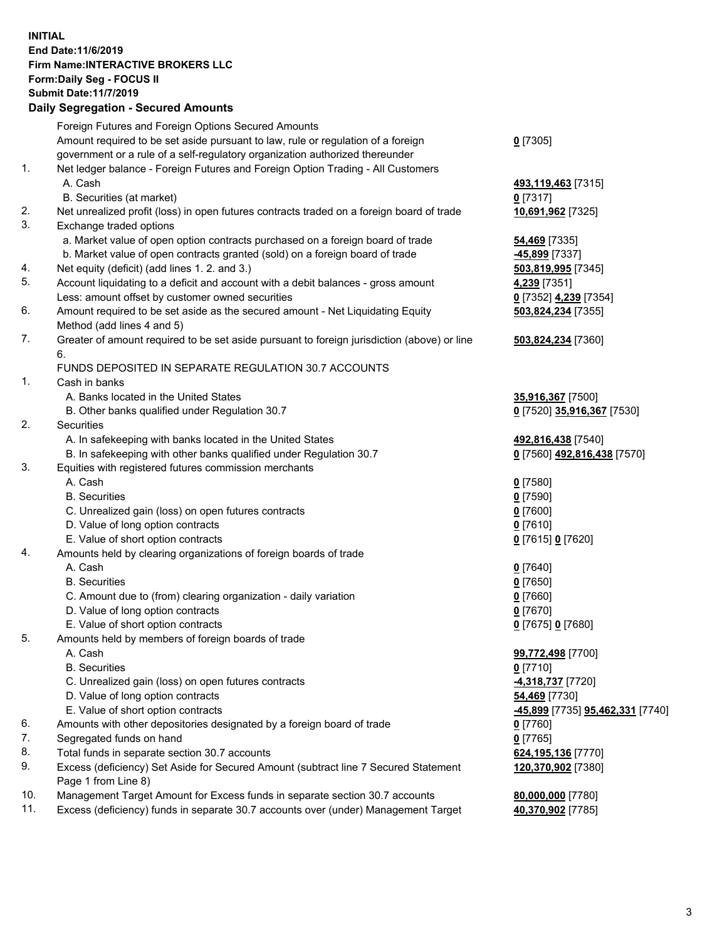## **INITIAL End Date:11/6/2019 Firm Name:INTERACTIVE BROKERS LLC Form:Daily Seg - FOCUS II Submit Date:11/7/2019 Daily Segregation - Secured Amounts**

|     | Daily Segregation - Secured Amounts                                                         |                                                      |
|-----|---------------------------------------------------------------------------------------------|------------------------------------------------------|
|     | Foreign Futures and Foreign Options Secured Amounts                                         |                                                      |
|     | Amount required to be set aside pursuant to law, rule or regulation of a foreign            | $0$ [7305]                                           |
|     | government or a rule of a self-regulatory organization authorized thereunder                |                                                      |
| 1.  | Net ledger balance - Foreign Futures and Foreign Option Trading - All Customers             |                                                      |
|     | A. Cash                                                                                     | 493,119,463 [7315]                                   |
|     | B. Securities (at market)                                                                   | $0$ [7317]                                           |
| 2.  | Net unrealized profit (loss) in open futures contracts traded on a foreign board of trade   | 10,691,962 [7325]                                    |
| 3.  | Exchange traded options                                                                     |                                                      |
|     | a. Market value of open option contracts purchased on a foreign board of trade              | 54,469 [7335]                                        |
|     | b. Market value of open contracts granted (sold) on a foreign board of trade                | -45,899 [7337]                                       |
| 4.  | Net equity (deficit) (add lines 1. 2. and 3.)                                               | 503,819,995 [7345]                                   |
| 5.  | Account liquidating to a deficit and account with a debit balances - gross amount           | 4,239 [7351]                                         |
|     | Less: amount offset by customer owned securities                                            | 0 [7352] 4,239 [7354]                                |
| 6.  | Amount required to be set aside as the secured amount - Net Liquidating Equity              | 503,824,234 [7355]                                   |
|     | Method (add lines 4 and 5)                                                                  |                                                      |
| 7.  | Greater of amount required to be set aside pursuant to foreign jurisdiction (above) or line | 503,824,234 [7360]                                   |
|     | 6.                                                                                          |                                                      |
|     | FUNDS DEPOSITED IN SEPARATE REGULATION 30.7 ACCOUNTS                                        |                                                      |
| 1.  | Cash in banks                                                                               |                                                      |
|     | A. Banks located in the United States                                                       | 35,916,367 [7500]                                    |
|     | B. Other banks qualified under Regulation 30.7                                              | 0 [7520] 35,916,367 [7530]                           |
| 2.  | Securities                                                                                  |                                                      |
|     | A. In safekeeping with banks located in the United States                                   | 492,816,438 [7540]                                   |
|     | B. In safekeeping with other banks qualified under Regulation 30.7                          | 0 [7560] 492,816,438 [7570]                          |
| 3.  | Equities with registered futures commission merchants                                       |                                                      |
|     | A. Cash                                                                                     | $0$ [7580]                                           |
|     | <b>B.</b> Securities                                                                        | $0$ [7590]                                           |
|     | C. Unrealized gain (loss) on open futures contracts                                         | $0$ [7600]                                           |
|     | D. Value of long option contracts                                                           | $0$ [7610]                                           |
|     | E. Value of short option contracts                                                          | 0 [7615] 0 [7620]                                    |
| 4.  | Amounts held by clearing organizations of foreign boards of trade                           |                                                      |
|     | A. Cash                                                                                     | $0$ [7640]                                           |
|     | <b>B.</b> Securities                                                                        | $0$ [7650]                                           |
|     | C. Amount due to (from) clearing organization - daily variation                             | $0$ [7660]                                           |
|     | D. Value of long option contracts                                                           | $0$ [7670]                                           |
|     | E. Value of short option contracts                                                          | 0 [7675] 0 [7680]                                    |
| 5.  | Amounts held by members of foreign boards of trade                                          |                                                      |
|     | A. Cash                                                                                     | 99,772,498 [7700]                                    |
|     | <b>B.</b> Securities                                                                        | $0$ [7710]                                           |
|     | C. Unrealized gain (loss) on open futures contracts                                         | 4,318,737 [7720]                                     |
|     | D. Value of long option contracts                                                           | 54,469 [7730]                                        |
|     | E. Value of short option contracts                                                          | <mark>-45,899</mark> [7735] <b>95,462,331</b> [7740] |
| 6.  | Amounts with other depositories designated by a foreign board of trade                      | 0 [7760]                                             |
| 7.  | Segregated funds on hand                                                                    | $0$ [7765]                                           |
| 8.  | Total funds in separate section 30.7 accounts                                               | 624,195,136 [7770]                                   |
| 9.  | Excess (deficiency) Set Aside for Secured Amount (subtract line 7 Secured Statement         | 120,370,902 [7380]                                   |
|     | Page 1 from Line 8)                                                                         |                                                      |
| 10. | Management Target Amount for Excess funds in separate section 30.7 accounts                 | 80,000,000 [7780]                                    |
| 11. | Excess (deficiency) funds in separate 30.7 accounts over (under) Management Target          | 40,370,902 [7785]                                    |
|     |                                                                                             |                                                      |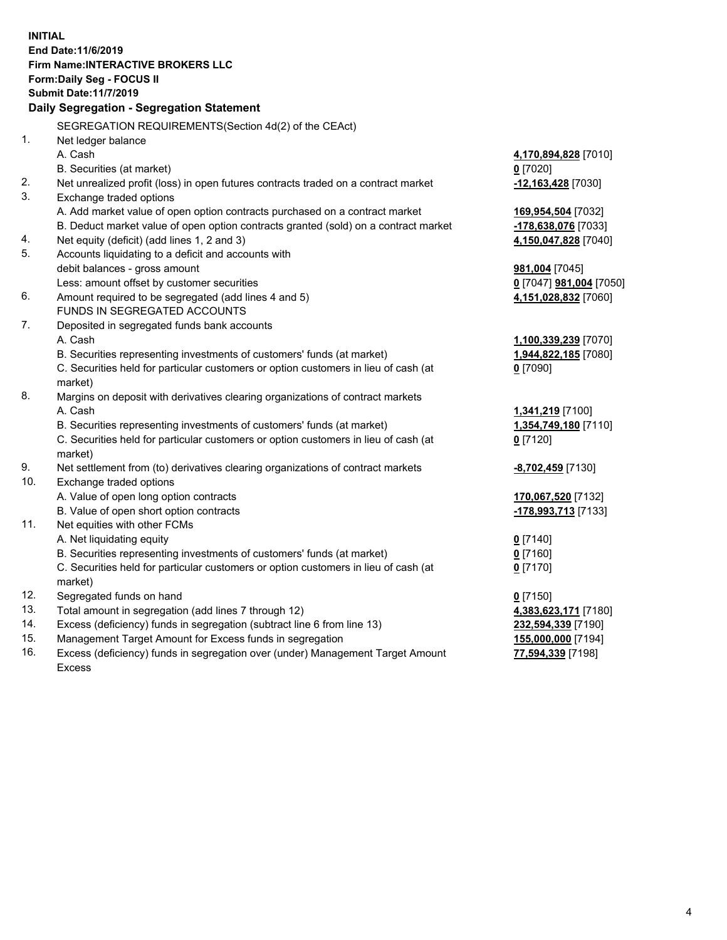**INITIAL End Date:11/6/2019 Firm Name:INTERACTIVE BROKERS LLC Form:Daily Seg - FOCUS II Submit Date:11/7/2019 Daily Segregation - Segregation Statement** SEGREGATION REQUIREMENTS(Section 4d(2) of the CEAct) 1. Net ledger balance A. Cash **4,170,894,828** [7010] B. Securities (at market) **0** [7020] 2. Net unrealized profit (loss) in open futures contracts traded on a contract market **-12,163,428** [7030] 3. Exchange traded options A. Add market value of open option contracts purchased on a contract market **169,954,504** [7032] B. Deduct market value of open option contracts granted (sold) on a contract market **-178,638,076** [7033] 4. Net equity (deficit) (add lines 1, 2 and 3) **4,150,047,828** [7040] 5. Accounts liquidating to a deficit and accounts with debit balances - gross amount **981,004** [7045] Less: amount offset by customer securities **0** [7047] **981,004** [7050] 6. Amount required to be segregated (add lines 4 and 5) **4,151,028,832** [7060] FUNDS IN SEGREGATED ACCOUNTS 7. Deposited in segregated funds bank accounts A. Cash **1,100,339,239** [7070] B. Securities representing investments of customers' funds (at market) **1,944,822,185** [7080] C. Securities held for particular customers or option customers in lieu of cash (at market) **0** [7090] 8. Margins on deposit with derivatives clearing organizations of contract markets A. Cash **1,341,219** [7100] B. Securities representing investments of customers' funds (at market) **1,354,749,180** [7110] C. Securities held for particular customers or option customers in lieu of cash (at market) **0** [7120] 9. Net settlement from (to) derivatives clearing organizations of contract markets **-8,702,459** [7130] 10. Exchange traded options A. Value of open long option contracts **170,067,520** [7132] B. Value of open short option contracts **-178,993,713** [7133] 11. Net equities with other FCMs A. Net liquidating equity **0** [7140] B. Securities representing investments of customers' funds (at market) **0** [7160] C. Securities held for particular customers or option customers in lieu of cash (at market) **0** [7170] 12. Segregated funds on hand **0** [7150] 13. Total amount in segregation (add lines 7 through 12) **4,383,623,171** [7180] 14. Excess (deficiency) funds in segregation (subtract line 6 from line 13) **232,594,339** [7190] 15. Management Target Amount for Excess funds in segregation **155,000,000** [7194] **77,594,339** [7198]

16. Excess (deficiency) funds in segregation over (under) Management Target Amount Excess